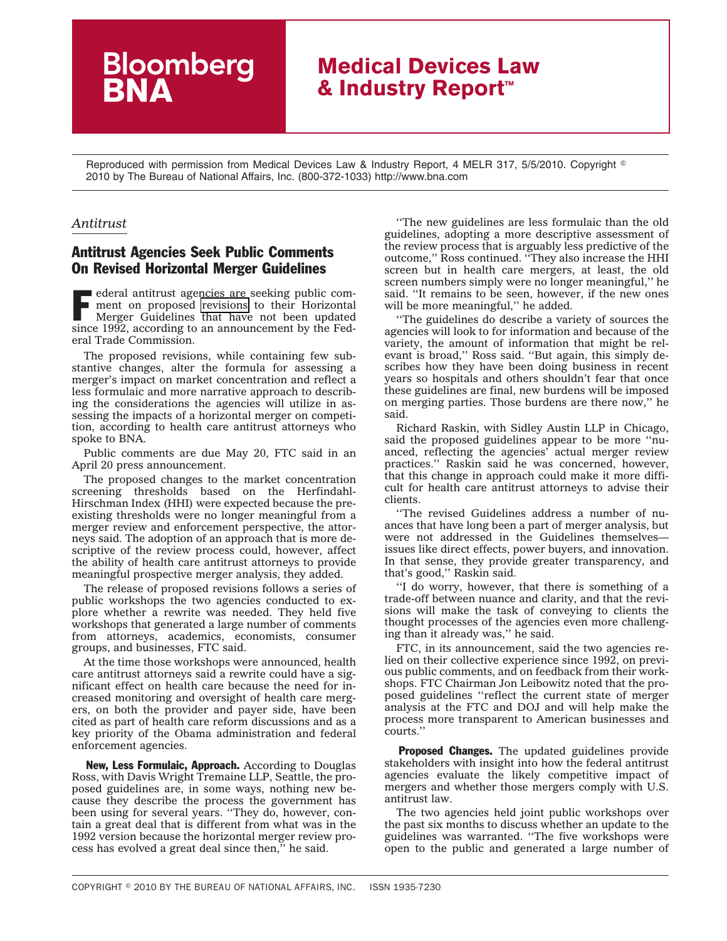## **Medical Devices Law & Industry Report™**

Reproduced with permission from Medical Devices Law & Industry Report, 4 MELR 317, 5/5/2010. Copyright  $^\circ$ 2010 by The Bureau of National Affairs, Inc. (800-372-1033) http://www.bna.com

## *Antitrust*

## Antitrust Agencies Seek Public Comments On Revised Horizontal Merger Guidelines

**Bloomberg**<br>**BNA** 

F ederal antitrust agencies are seeking public comment on proposed [revisions](http://www.ftc.gov/os/2010/04/100420hmg.pdf) to their Horizontal Merger Guidelines that have not been updated since 1992, according to an announcement by the Federal Trade Commission.

The proposed revisions, while containing few substantive changes, alter the formula for assessing a merger's impact on market concentration and reflect a less formulaic and more narrative approach to describing the considerations the agencies will utilize in assessing the impacts of a horizontal merger on competition, according to health care antitrust attorneys who spoke to BNA.

Public comments are due May 20, FTC said in an April 20 press announcement.

The proposed changes to the market concentration screening thresholds based on the Herfindahl-Hirschman Index (HHI) were expected because the preexisting thresholds were no longer meaningful from a merger review and enforcement perspective, the attorneys said. The adoption of an approach that is more descriptive of the review process could, however, affect the ability of health care antitrust attorneys to provide meaningful prospective merger analysis, they added.

The release of proposed revisions follows a series of public workshops the two agencies conducted to explore whether a rewrite was needed. They held five workshops that generated a large number of comments from attorneys, academics, economists, consumer groups, and businesses, FTC said.

At the time those workshops were announced, health care antitrust attorneys said a rewrite could have a significant effect on health care because the need for increased monitoring and oversight of health care mergers, on both the provider and payer side, have been cited as part of health care reform discussions and as a key priority of the Obama administration and federal enforcement agencies.

New, Less Formulaic, Approach. According to Douglas Ross, with Davis Wright Tremaine LLP, Seattle, the proposed guidelines are, in some ways, nothing new because they describe the process the government has been using for several years. ''They do, however, contain a great deal that is different from what was in the 1992 version because the horizontal merger review process has evolved a great deal since then,'' he said.

''The new guidelines are less formulaic than the old guidelines, adopting a more descriptive assessment of the review process that is arguably less predictive of the outcome,'' Ross continued. ''They also increase the HHI screen but in health care mergers, at least, the old screen numbers simply were no longer meaningful,'' he said. ''It remains to be seen, however, if the new ones will be more meaningful,'' he added.

''The guidelines do describe a variety of sources the agencies will look to for information and because of the variety, the amount of information that might be relevant is broad,'' Ross said. ''But again, this simply describes how they have been doing business in recent years so hospitals and others shouldn't fear that once these guidelines are final, new burdens will be imposed on merging parties. Those burdens are there now,'' he said.

Richard Raskin, with Sidley Austin LLP in Chicago, said the proposed guidelines appear to be more ''nuanced, reflecting the agencies' actual merger review practices.'' Raskin said he was concerned, however, that this change in approach could make it more difficult for health care antitrust attorneys to advise their clients.

''The revised Guidelines address a number of nuances that have long been a part of merger analysis, but were not addressed in the Guidelines themselves issues like direct effects, power buyers, and innovation. In that sense, they provide greater transparency, and that's good,'' Raskin said.

''I do worry, however, that there is something of a trade-off between nuance and clarity, and that the revisions will make the task of conveying to clients the thought processes of the agencies even more challenging than it already was,'' he said.

FTC, in its announcement, said the two agencies relied on their collective experience since 1992, on previous public comments, and on feedback from their workshops. FTC Chairman Jon Leibowitz noted that the proposed guidelines ''reflect the current state of merger analysis at the FTC and DOJ and will help make the process more transparent to American businesses and courts.''

**Proposed Changes.** The updated guidelines provide stakeholders with insight into how the federal antitrust agencies evaluate the likely competitive impact of mergers and whether those mergers comply with U.S. antitrust law.

The two agencies held joint public workshops over the past six months to discuss whether an update to the guidelines was warranted. ''The five workshops were open to the public and generated a large number of